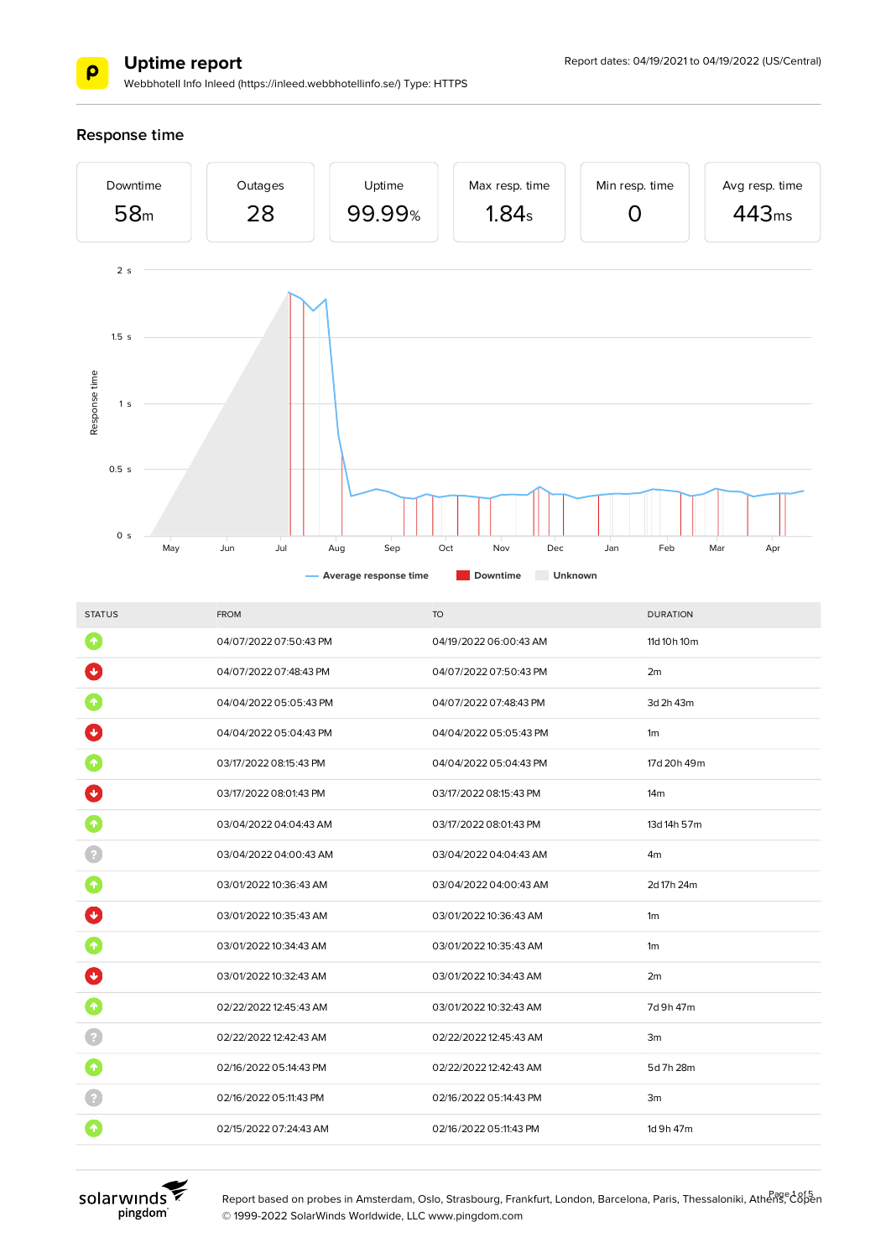

Webbhotell Info Inleed (https://inleed.webbhotellinfo.se/) Type: HTTPS

### **Response time**



| <b>STATUS</b>         | <b>FROM</b>            | <b>TO</b>              | <b>DURATION</b> |
|-----------------------|------------------------|------------------------|-----------------|
| $\blacktriangleright$ | 04/07/2022 07:50:43 PM | 04/19/2022 06:00:43 AM | 11d 10h 10m     |
|                       | 04/07/2022 07:48:43 PM | 04/07/2022 07:50:43 PM | 2m              |
|                       | 04/04/2022 05:05:43 PM | 04/07/2022 07:48:43 PM | 3d 2h 43m       |
|                       | 04/04/2022 05:04:43 PM | 04/04/2022 05:05:43 PM | 1 <sub>m</sub>  |
|                       | 03/17/2022 08:15:43 PM | 04/04/2022 05:04:43 PM | 17d 20h 49m     |
| $\ddot{\phantom{1}}$  | 03/17/2022 08:01:43 PM | 03/17/2022 08:15:43 PM | 14 <sub>m</sub> |
|                       | 03/04/2022 04:04:43 AM | 03/17/2022 08:01:43 PM | 13d 14h 57m     |
|                       | 03/04/2022 04:00:43 AM | 03/04/2022 04:04:43 AM | 4 <sub>m</sub>  |
| $\hat{\mathbf{r}}$    | 03/01/2022 10:36:43 AM | 03/04/2022 04:00:43 AM | 2d 17h 24m      |
| $\ddot{\mathbf{r}}$   | 03/01/2022 10:35:43 AM | 03/01/2022 10:36:43 AM | 1 <sub>m</sub>  |
| $\ddot{\textbf{r}}$   | 03/01/2022 10:34:43 AM | 03/01/2022 10:35:43 AM | 1 <sub>m</sub>  |
|                       | 03/01/2022 10:32:43 AM | 03/01/2022 10:34:43 AM | 2m              |
| ↑                     | 02/22/2022 12:45:43 AM | 03/01/2022 10:32:43 AM | 7d 9h 47m       |
|                       | 02/22/2022 12:42:43 AM | 02/22/2022 12:45:43 AM | 3m              |
| 个                     | 02/16/2022 05:14:43 PM | 02/22/2022 12:42:43 AM | 5d 7h 28m       |
|                       | 02/16/2022 05:11:43 PM | 02/16/2022 05:14:43 PM | 3m              |
|                       | 02/15/2022 07:24:43 AM | 02/16/2022 05:11:43 PM | 1d 9h 47m       |
|                       |                        |                        |                 |



Report based on probes in Amsterdam, Oslo, Strasbourg, Frankfurt, London, Barcelona, Paris, Thessaloniki, Athens, Copen © 1999-2022 SolarWinds Worldwide, LLC www.pingdom.com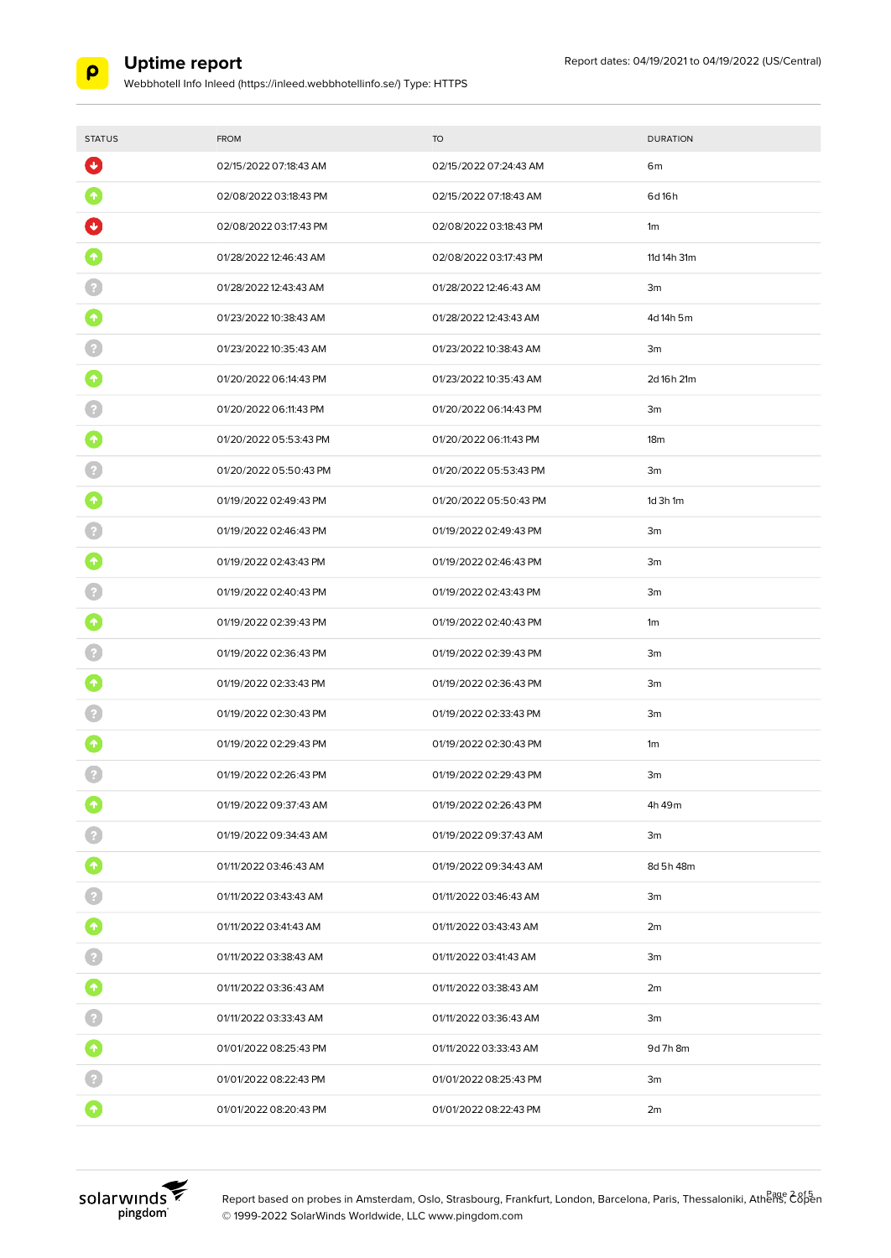

Webbhotell Info Inleed (https://inleed.webbhotellinfo.se/) Type: HTTPS

| <b>STATUS</b>       | <b>FROM</b>            | <b>TO</b>              | <b>DURATION</b> |
|---------------------|------------------------|------------------------|-----------------|
| $\ddot{\mathbf{v}}$ | 02/15/2022 07:18:43 AM | 02/15/2022 07:24:43 AM | 6m              |
| 个                   | 02/08/2022 03:18:43 PM | 02/15/2022 07:18:43 AM | 6d16h           |
|                     | 02/08/2022 03:17:43 PM | 02/08/2022 03:18:43 PM | 1 <sub>m</sub>  |
|                     | 01/28/2022 12:46:43 AM | 02/08/2022 03:17:43 PM | 11d 14h 31m     |
|                     | 01/28/2022 12:43:43 AM | 01/28/2022 12:46:43 AM | 3m              |
|                     | 01/23/2022 10:38:43 AM | 01/28/2022 12:43:43 AM | 4d 14h 5m       |
|                     | 01/23/2022 10:35:43 AM | 01/23/2022 10:38:43 AM | 3m              |
|                     | 01/20/2022 06:14:43 PM | 01/23/2022 10:35:43 AM | 2d 16h 21m      |
|                     | 01/20/2022 06:11:43 PM | 01/20/2022 06:14:43 PM | 3m              |
| ↑                   | 01/20/2022 05:53:43 PM | 01/20/2022 06:11:43 PM | 18 <sub>m</sub> |
|                     | 01/20/2022 05:50:43 PM | 01/20/2022 05:53:43 PM | 3m              |
| 个                   | 01/19/2022 02:49:43 PM | 01/20/2022 05:50:43 PM | 1d 3h 1m        |
|                     | 01/19/2022 02:46:43 PM | 01/19/2022 02:49:43 PM | 3m              |
|                     | 01/19/2022 02:43:43 PM | 01/19/2022 02:46:43 PM | 3m              |
|                     | 01/19/2022 02:40:43 PM | 01/19/2022 02:43:43 PM | 3m              |
|                     | 01/19/2022 02:39:43 PM | 01/19/2022 02:40:43 PM | 1 <sub>m</sub>  |
|                     | 01/19/2022 02:36:43 PM | 01/19/2022 02:39:43 PM | 3m              |
|                     | 01/19/2022 02:33:43 PM | 01/19/2022 02:36:43 PM | 3m              |
|                     | 01/19/2022 02:30:43 PM | 01/19/2022 02:33:43 PM | 3m              |
|                     | 01/19/2022 02:29:43 PM | 01/19/2022 02:30:43 PM | 1m              |
|                     | 01/19/2022 02:26:43 PM | 01/19/2022 02:29:43 PM | 3m              |
|                     | 01/19/2022 09:37:43 AM | 01/19/2022 02:26:43 PM | 4h 49m          |
|                     | 01/19/2022 09:34:43 AM | 01/19/2022 09:37:43 AM | 3m              |
| $\blacklozenge$     | 01/11/2022 03:46:43 AM | 01/19/2022 09:34:43 AM | 8d 5h 48m       |
| $\Omega$            | 01/11/2022 03:43:43 AM | 01/11/2022 03:46:43 AM | 3m              |
| 0                   | 01/11/2022 03:41:43 AM | 01/11/2022 03:43:43 AM | 2m              |
|                     | 01/11/2022 03:38:43 AM | 01/11/2022 03:41:43 AM | 3m              |
| $\bullet$           | 01/11/2022 03:36:43 AM | 01/11/2022 03:38:43 AM | 2m              |
|                     | 01/11/2022 03:33:43 AM | 01/11/2022 03:36:43 AM | 3m              |
| 0                   | 01/01/2022 08:25:43 PM | 01/11/2022 03:33:43 AM | 9d 7h 8m        |
|                     | 01/01/2022 08:22:43 PM | 01/01/2022 08:25:43 PM | 3m              |
| $\blacklozenge$     | 01/01/2022 08:20:43 PM | 01/01/2022 08:22:43 PM | 2m              |



Report based on probes in Amsterdam, Oslo, Strasbourg, Frankfurt, London, Barcelona, Paris, Thessaloniki, Athens, C8pen © 1999-2022 SolarWinds Worldwide, LLC www.pingdom.com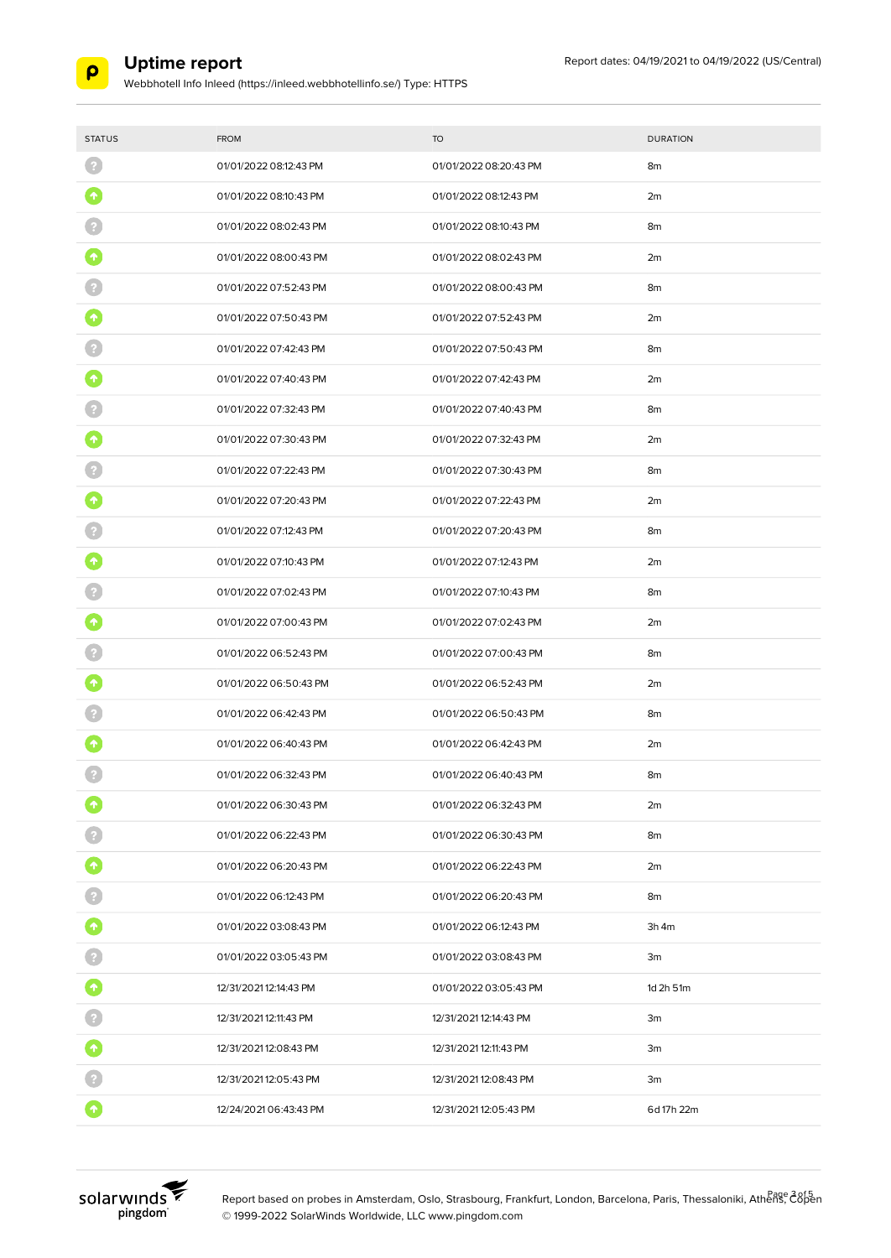

Webbhotell Info Inleed (https://inleed.webbhotellinfo.se/) Type: HTTPS

| <b>STATUS</b> | <b>FROM</b>            | <b>TO</b>              | <b>DURATION</b> |
|---------------|------------------------|------------------------|-----------------|
|               | 01/01/2022 08:12:43 PM | 01/01/2022 08:20:43 PM | 8m              |
|               | 01/01/2022 08:10:43 PM | 01/01/2022 08:12:43 PM | 2m              |
|               | 01/01/2022 08:02:43 PM | 01/01/2022 08:10:43 PM | 8m              |
|               | 01/01/2022 08:00:43 PM | 01/01/2022 08:02:43 PM | 2m              |
|               | 01/01/2022 07:52:43 PM | 01/01/2022 08:00:43 PM | 8m              |
|               | 01/01/2022 07:50:43 PM | 01/01/2022 07:52:43 PM | 2m              |
|               | 01/01/2022 07:42:43 PM | 01/01/2022 07:50:43 PM | 8m              |
|               | 01/01/2022 07:40:43 PM | 01/01/2022 07:42:43 PM | 2m              |
|               | 01/01/2022 07:32:43 PM | 01/01/2022 07:40:43 PM | 8m              |
|               | 01/01/2022 07:30:43 PM | 01/01/2022 07:32:43 PM | 2m              |
|               | 01/01/2022 07:22:43 PM | 01/01/2022 07:30:43 PM | 8m              |
|               | 01/01/2022 07:20:43 PM | 01/01/2022 07:22:43 PM | 2m              |
|               | 01/01/2022 07:12:43 PM | 01/01/2022 07:20:43 PM | 8m              |
|               | 01/01/2022 07:10:43 PM | 01/01/2022 07:12:43 PM | 2m              |
|               | 01/01/2022 07:02:43 PM | 01/01/2022 07:10:43 PM | 8m              |
|               | 01/01/2022 07:00:43 PM | 01/01/2022 07:02:43 PM | 2m              |
|               | 01/01/2022 06:52:43 PM | 01/01/2022 07:00:43 PM | 8m              |
|               | 01/01/2022 06:50:43 PM | 01/01/2022 06:52:43 PM | 2m              |
|               | 01/01/2022 06:42:43 PM | 01/01/2022 06:50:43 PM | 8m              |
|               | 01/01/2022 06:40:43 PM | 01/01/2022 06:42:43 PM | 2m              |
|               | 01/01/2022 06:32:43 PM | 01/01/2022 06:40:43 PM | 8m              |
|               | 01/01/2022 06:30:43 PM | 01/01/2022 06:32:43 PM | 2m              |
|               | 01/01/2022 06:22:43 PM | 01/01/2022 06:30:43 PM | 8m              |
| 0             | 01/01/2022 06:20:43 PM | 01/01/2022 06:22:43 PM | 2m              |
| $\Omega$      | 01/01/2022 06:12:43 PM | 01/01/2022 06:20:43 PM | 8m              |
| 0             | 01/01/2022 03:08:43 PM | 01/01/2022 06:12:43 PM | $3h$ 4 $m$      |
|               | 01/01/2022 03:05:43 PM | 01/01/2022 03:08:43 PM | 3m              |
| 0             | 12/31/2021 12:14:43 PM | 01/01/2022 03:05:43 PM | 1d 2h 51m       |
|               | 12/31/2021 12:11:43 PM | 12/31/2021 12:14:43 PM | 3m              |
| O             | 12/31/2021 12:08:43 PM | 12/31/2021 12:11:43 PM | 3m              |
|               | 12/31/2021 12:05:43 PM | 12/31/2021 12:08:43 PM | 3m              |
| $\bullet$     | 12/24/2021 06:43:43 PM | 12/31/2021 12:05:43 PM | 6d 17h 22m      |



Report based on probes in Amsterdam, Oslo, Strasbourg, Frankfurt, London, Barcelona, Paris, Thessaloniki, Athenge 28f5 © 1999-2022 SolarWinds Worldwide, LLC www.pingdom.com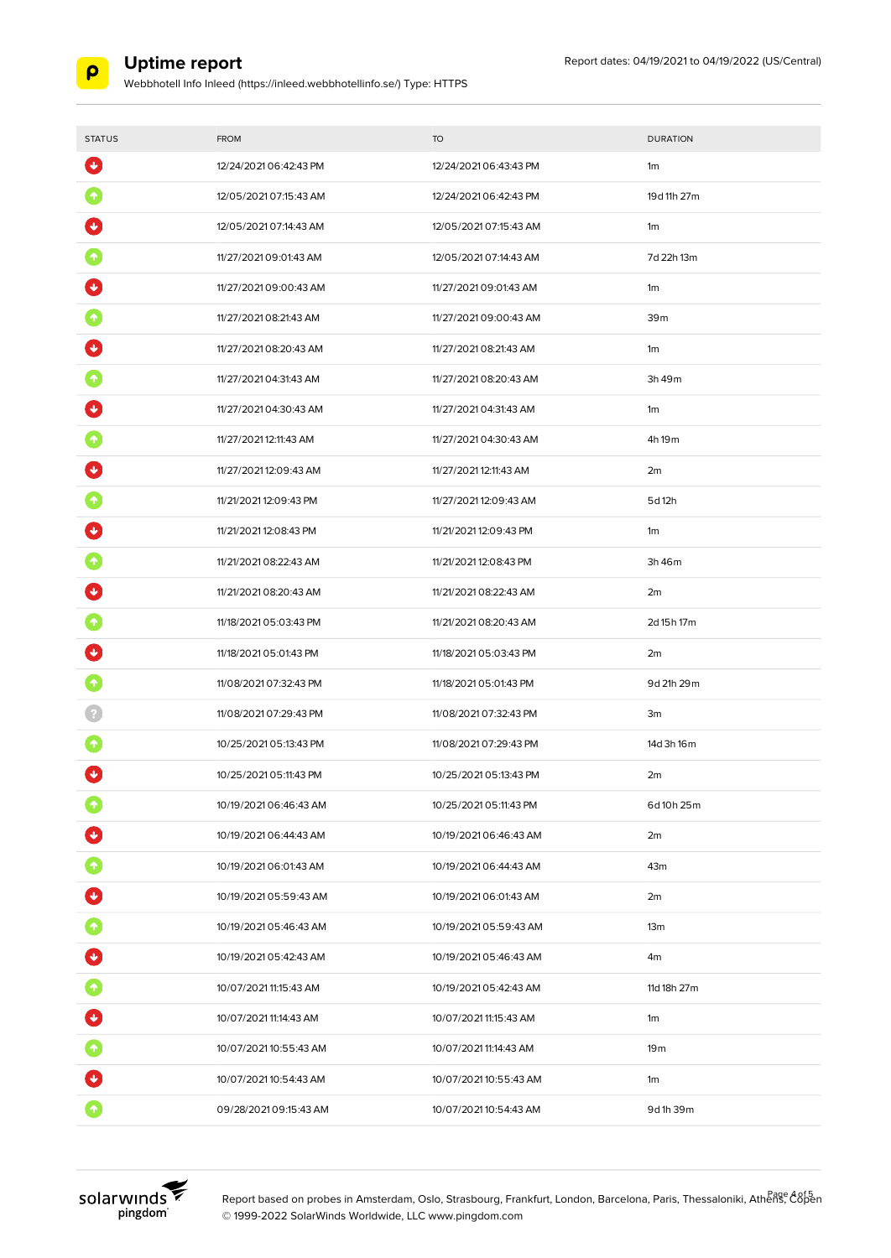

Webbhotell Info Inleed (https://inleed.webbhotellinfo.se/) Type: HTTPS

| <b>STATUS</b>           | <b>FROM</b>            | <b>TO</b>              | <b>DURATION</b>    |
|-------------------------|------------------------|------------------------|--------------------|
| $\ddot{\phantom{1}}$    | 12/24/2021 06:42:43 PM | 12/24/2021 06:43:43 PM | 1 <sub>m</sub>     |
| $\boldsymbol{\Uparrow}$ | 12/05/2021 07:15:43 AM | 12/24/2021 06:42:43 PM | 19d 11h 27m        |
|                         | 12/05/2021 07:14:43 AM | 12/05/2021 07:15:43 AM | 1 <sub>m</sub>     |
|                         | 11/27/2021 09:01:43 AM | 12/05/2021 07:14:43 AM | 7d 22h 13m         |
|                         | 11/27/2021 09:00:43 AM | 11/27/2021 09:01:43 AM | 1 <sub>m</sub>     |
|                         | 11/27/2021 08:21:43 AM | 11/27/2021 09:00:43 AM | 39m                |
|                         | 11/27/2021 08:20:43 AM | 11/27/2021 08:21:43 AM | 1 <sub>m</sub>     |
|                         | 11/27/2021 04:31:43 AM | 11/27/2021 08:20:43 AM | 3h 49m             |
|                         | 11/27/2021 04:30:43 AM | 11/27/2021 04:31:43 AM | 1 <sub>m</sub>     |
|                         | 11/27/2021 12:11:43 AM | 11/27/2021 04:30:43 AM | 4h 19 <sub>m</sub> |
|                         | 11/27/2021 12:09:43 AM | 11/27/2021 12:11:43 AM | 2m                 |
|                         | 11/21/2021 12:09:43 PM | 11/27/2021 12:09:43 AM | 5d 12h             |
|                         | 11/21/2021 12:08:43 PM | 11/21/2021 12:09:43 PM | 1m                 |
|                         | 11/21/2021 08:22:43 AM | 11/21/2021 12:08:43 PM | 3h 46m             |
|                         | 11/21/2021 08:20:43 AM | 11/21/2021 08:22:43 AM | 2m                 |
|                         | 11/18/2021 05:03:43 PM | 11/21/2021 08:20:43 AM | 2d 15h 17m         |
|                         | 11/18/2021 05:01:43 PM | 11/18/2021 05:03:43 PM | 2m                 |
|                         | 11/08/2021 07:32:43 PM | 11/18/2021 05:01:43 PM | 9d 21h 29m         |
|                         | 11/08/2021 07:29:43 PM | 11/08/2021 07:32:43 PM | 3m                 |
|                         | 10/25/2021 05:13:43 PM | 11/08/2021 07:29:43 PM | 14d 3h 16m         |
| ◆                       | 10/25/2021 05:11:43 PM | 10/25/2021 05:13:43 PM | 2m                 |
|                         | 10/19/2021 06:46:43 AM | 10/25/2021 05:11:43 PM | 6d 10h 25m         |
| $\bigtriangledown$      | 10/19/2021 06:44:43 AM | 10/19/2021 06:46:43 AM | 2m                 |
| $\bullet$               | 10/19/2021 06:01:43 AM | 10/19/2021 06:44:43 AM | 43m                |
| 0                       | 10/19/2021 05:59:43 AM | 10/19/2021 06:01:43 AM | 2m                 |
| 0                       | 10/19/2021 05:46:43 AM | 10/19/2021 05:59:43 AM | 13 <sub>m</sub>    |
| U                       | 10/19/2021 05:42:43 AM | 10/19/2021 05:46:43 AM | 4m                 |
| $\bullet$               | 10/07/2021 11:15:43 AM | 10/19/2021 05:42:43 AM | 11d 18h 27m        |
| $\bullet$               | 10/07/2021 11:14:43 AM | 10/07/2021 11:15:43 AM | 1m                 |
| $\bullet$               | 10/07/2021 10:55:43 AM | 10/07/2021 11:14:43 AM | 19 <sub>m</sub>    |
| O                       | 10/07/2021 10:54:43 AM | 10/07/2021 10:55:43 AM | 1m                 |
| $\blacklozenge$         | 09/28/2021 09:15:43 AM | 10/07/2021 10:54:43 AM | 9d 1h 39m          |



Report based on probes in Amsterdam, Oslo, Strasbourg, Frankfurt, London, Barcelona, Paris, Thessaloniki, Athenge A8f5 © 1999-2022 SolarWinds Worldwide, LLC www.pingdom.com